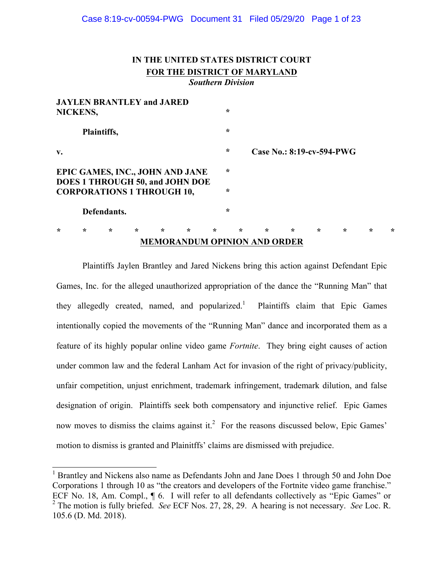# **IN THE UNITED STATES DISTRICT COURT FOR THE DISTRICT OF MARYLAND** *Southern Division*

| <b>JAYLEN BRANTLEY and JARED</b><br>NICKENS, |         |                                   |         |         |                                                                           |         |         |         |                                     |         |         |         |         |         |
|----------------------------------------------|---------|-----------------------------------|---------|---------|---------------------------------------------------------------------------|---------|---------|---------|-------------------------------------|---------|---------|---------|---------|---------|
| Plaintiffs,                                  |         |                                   |         |         |                                                                           |         | $\star$ |         |                                     |         |         |         |         |         |
| V.                                           |         |                                   |         |         |                                                                           |         | $\star$ |         | Case No.: 8:19-cv-594-PWG           |         |         |         |         |         |
|                                              |         |                                   |         |         | EPIC GAMES, INC., JOHN AND JANE<br><b>DOES 1 THROUGH 50, and JOHN DOE</b> |         | $\star$ |         |                                     |         |         |         |         |         |
|                                              |         | <b>CORPORATIONS 1 THROUGH 10,</b> |         |         |                                                                           |         | $\star$ |         |                                     |         |         |         |         |         |
| Defendants.                                  |         |                                   |         |         |                                                                           |         | $\star$ |         |                                     |         |         |         |         |         |
| ÷                                            | $\star$ | $\star$                           | $\star$ | $\star$ | $\star$                                                                   | $\star$ |         | $\star$ | $\star$                             | $\star$ | $\star$ | $\star$ | $\star$ | $\star$ |
|                                              |         |                                   |         |         |                                                                           |         |         |         | <b>MEMORANDUM OPINION AND ORDER</b> |         |         |         |         |         |

Plaintiffs Jaylen Brantley and Jared Nickens bring this action against Defendant Epic Games, Inc. for the alleged unauthorized appropriation of the dance the "Running Man" that they allegedly created, named, and popularized.<sup>1</sup> Plaintiffs claim that Epic Games intentionally copied the movements of the "Running Man" dance and incorporated them as a feature of its highly popular online video game *Fortnite*. They bring eight causes of action under common law and the federal Lanham Act for invasion of the right of privacy/publicity, unfair competition, unjust enrichment, trademark infringement, trademark dilution, and false designation of origin. Plaintiffs seek both compensatory and injunctive relief. Epic Games now moves to dismiss the claims against it.<sup>2</sup> For the reasons discussed below, Epic Games' motion to dismiss is granted and Plainitffs' claims are dismissed with prejudice.

<sup>&</sup>lt;sup>1</sup> Brantley and Nickens also name as Defendants John and Jane Does 1 through 50 and John Doe Corporations 1 through 10 as "the creators and developers of the Fortnite video game franchise." ECF No. 18, Am. Compl., ¶ 6. I will refer to all defendants collectively as "Epic Games" or <sup>2</sup> The motion is fully briefed. *See* ECF Nos. 27, 28, 29. A hearing is not necessary. *See* Loc. R. 105.6 (D. Md. 2018).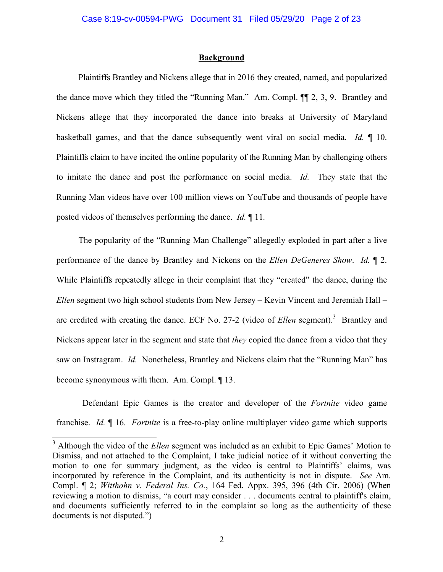#### **Background**

Plaintiffs Brantley and Nickens allege that in 2016 they created, named, and popularized the dance move which they titled the "Running Man." Am. Compl. ¶¶ 2, 3, 9. Brantley and Nickens allege that they incorporated the dance into breaks at University of Maryland basketball games, and that the dance subsequently went viral on social media. *Id.* ¶ 10. Plaintiffs claim to have incited the online popularity of the Running Man by challenging others to imitate the dance and post the performance on social media. *Id.* They state that the Running Man videos have over 100 million views on YouTube and thousands of people have posted videos of themselves performing the dance. *Id.* ¶ 11*.*

The popularity of the "Running Man Challenge" allegedly exploded in part after a live performance of the dance by Brantley and Nickens on the *Ellen DeGeneres Show*. *Id.* ¶ 2. While Plaintiffs repeatedly allege in their complaint that they "created" the dance, during the *Ellen* segment two high school students from New Jersey – Kevin Vincent and Jeremiah Hall – are credited with creating the dance. ECF No. 27-2 (video of *Ellen* segment).<sup>3</sup> Brantley and Nickens appear later in the segment and state that *they* copied the dance from a video that they saw on Instragram. *Id.* Nonetheless, Brantley and Nickens claim that the "Running Man" has become synonymous with them. Am. Compl. ¶ 13.

Defendant Epic Games is the creator and developer of the *Fortnite* video game franchise. *Id.* ¶ 16. *Fortnite* is a free-to-play online multiplayer video game which supports

 <sup>3</sup> Although the video of the *Ellen* segment was included as an exhibit to Epic Games' Motion to Dismiss, and not attached to the Complaint, I take judicial notice of it without converting the motion to one for summary judgment, as the video is central to Plaintiffs' claims, was incorporated by reference in the Complaint, and its authenticity is not in dispute. *See* Am. Compl. ¶ 2; *Witthohn v. Federal Ins. Co.*, 164 Fed. Appx. 395, 396 (4th Cir. 2006) (When reviewing a motion to dismiss, "a court may consider . . . documents central to plaintiff's claim, and documents sufficiently referred to in the complaint so long as the authenticity of these documents is not disputed.")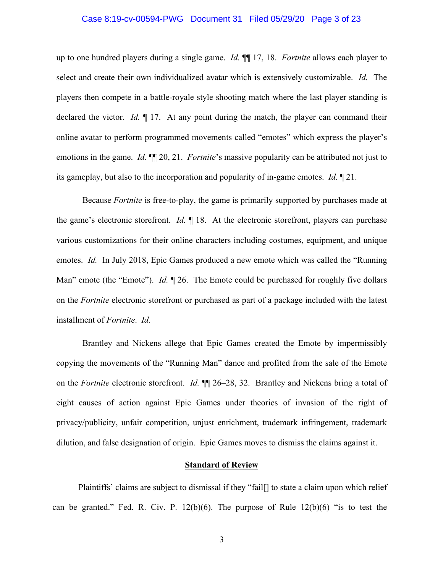### Case 8:19-cv-00594-PWG Document 31 Filed 05/29/20 Page 3 of 23

up to one hundred players during a single game. *Id.* ¶¶ 17, 18. *Fortnite* allows each player to select and create their own individualized avatar which is extensively customizable. *Id.* The players then compete in a battle-royale style shooting match where the last player standing is declared the victor. *Id.* ¶ 17. At any point during the match, the player can command their online avatar to perform programmed movements called "emotes" which express the player's emotions in the game. *Id.* ¶¶ 20, 21. *Fortnite*'s massive popularity can be attributed not just to its gameplay, but also to the incorporation and popularity of in-game emotes. *Id.* ¶ 21.

Because *Fortnite* is free-to-play, the game is primarily supported by purchases made at the game's electronic storefront. *Id.* ¶ 18. At the electronic storefront, players can purchase various customizations for their online characters including costumes, equipment, and unique emotes. *Id.* In July 2018, Epic Games produced a new emote which was called the "Running Man" emote (the "Emote"). *Id.* 126. The Emote could be purchased for roughly five dollars on the *Fortnite* electronic storefront or purchased as part of a package included with the latest installment of *Fortnite*. *Id.*

Brantley and Nickens allege that Epic Games created the Emote by impermissibly copying the movements of the "Running Man" dance and profited from the sale of the Emote on the *Fortnite* electronic storefront. *Id.* ¶¶ 26–28, 32. Brantley and Nickens bring a total of eight causes of action against Epic Games under theories of invasion of the right of privacy/publicity, unfair competition, unjust enrichment, trademark infringement, trademark dilution, and false designation of origin. Epic Games moves to dismiss the claims against it.

### **Standard of Review**

Plaintiffs' claims are subject to dismissal if they "fail[] to state a claim upon which relief can be granted." Fed. R. Civ. P.  $12(b)(6)$ . The purpose of Rule  $12(b)(6)$  "is to test the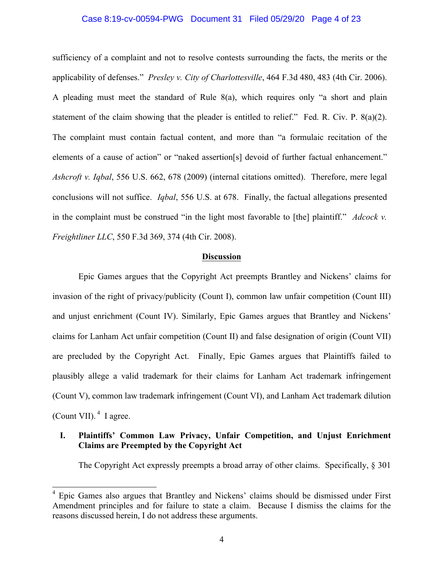### Case 8:19-cv-00594-PWG Document 31 Filed 05/29/20 Page 4 of 23

sufficiency of a complaint and not to resolve contests surrounding the facts, the merits or the applicability of defenses." *Presley v. City of Charlottesville*, 464 F.3d 480, 483 (4th Cir. 2006). A pleading must meet the standard of Rule 8(a), which requires only "a short and plain statement of the claim showing that the pleader is entitled to relief." Fed. R. Civ. P. 8(a)(2). The complaint must contain factual content, and more than "a formulaic recitation of the elements of a cause of action" or "naked assertion[s] devoid of further factual enhancement." *Ashcroft v. Iqbal*, 556 U.S. 662, 678 (2009) (internal citations omitted). Therefore, mere legal conclusions will not suffice. *Iqbal*, 556 U.S. at 678. Finally, the factual allegations presented in the complaint must be construed "in the light most favorable to [the] plaintiff." *Adcock v. Freightliner LLC*, 550 F.3d 369, 374 (4th Cir. 2008).

#### **Discussion**

Epic Games argues that the Copyright Act preempts Brantley and Nickens' claims for invasion of the right of privacy/publicity (Count I), common law unfair competition (Count III) and unjust enrichment (Count IV). Similarly, Epic Games argues that Brantley and Nickens' claims for Lanham Act unfair competition (Count II) and false designation of origin (Count VII) are precluded by the Copyright Act. Finally, Epic Games argues that Plaintiffs failed to plausibly allege a valid trademark for their claims for Lanham Act trademark infringement (Count V), common law trademark infringement (Count VI), and Lanham Act trademark dilution (Count VII).  $4$  I agree.

## **I. Plaintiffs' Common Law Privacy, Unfair Competition, and Unjust Enrichment Claims are Preempted by the Copyright Act**

The Copyright Act expressly preempts a broad array of other claims. Specifically, § 301

<sup>&</sup>lt;sup>4</sup> Epic Games also argues that Brantley and Nickens' claims should be dismissed under First Amendment principles and for failure to state a claim. Because I dismiss the claims for the reasons discussed herein, I do not address these arguments.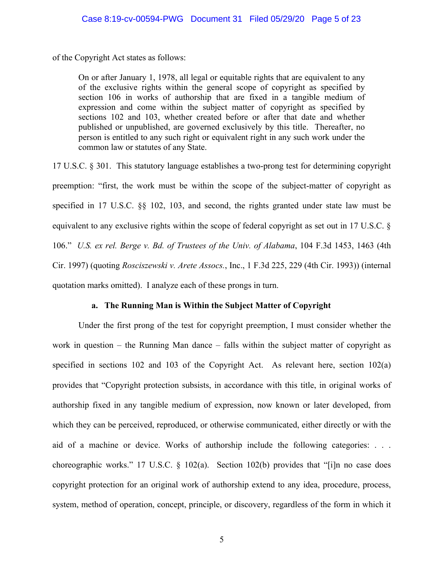of the Copyright Act states as follows:

On or after January 1, 1978, all legal or equitable rights that are equivalent to any of the exclusive rights within the general scope of copyright as specified by section 106 in works of authorship that are fixed in a tangible medium of expression and come within the subject matter of copyright as specified by sections 102 and 103, whether created before or after that date and whether published or unpublished, are governed exclusively by this title. Thereafter, no person is entitled to any such right or equivalent right in any such work under the common law or statutes of any State.

17 U.S.C. § 301. This statutory language establishes a two-prong test for determining copyright preemption: "first, the work must be within the scope of the subject-matter of copyright as specified in 17 U.S.C. §§ 102, 103, and second, the rights granted under state law must be equivalent to any exclusive rights within the scope of federal copyright as set out in 17 U.S.C. § 106." *U.S. ex rel. Berge v. Bd. of Trustees of the Univ. of Alabama*, 104 F.3d 1453, 1463 (4th Cir. 1997) (quoting *Rosciszewski v. Arete Assocs.*, Inc., 1 F.3d 225, 229 (4th Cir. 1993)) (internal quotation marks omitted). I analyze each of these prongs in turn.

## **a. The Running Man is Within the Subject Matter of Copyright**

Under the first prong of the test for copyright preemption, I must consider whether the work in question – the Running Man dance – falls within the subject matter of copyright as specified in sections 102 and 103 of the Copyright Act. As relevant here, section 102(a) provides that "Copyright protection subsists, in accordance with this title, in original works of authorship fixed in any tangible medium of expression, now known or later developed, from which they can be perceived, reproduced, or otherwise communicated, either directly or with the aid of a machine or device. Works of authorship include the following categories: . . . choreographic works." 17 U.S.C. § 102(a). Section 102(b) provides that "[i]n no case does copyright protection for an original work of authorship extend to any idea, procedure, process, system, method of operation, concept, principle, or discovery, regardless of the form in which it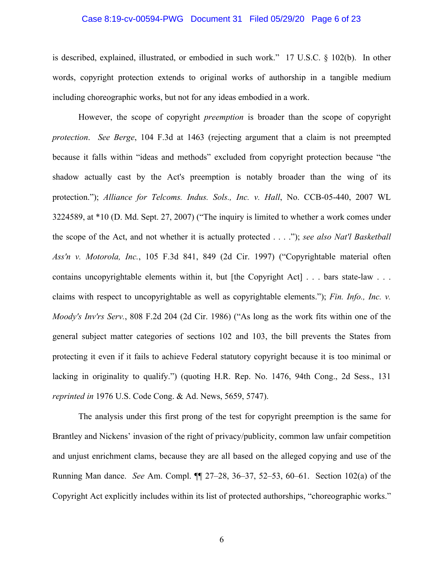### Case 8:19-cv-00594-PWG Document 31 Filed 05/29/20 Page 6 of 23

is described, explained, illustrated, or embodied in such work." 17 U.S.C. § 102(b). In other words, copyright protection extends to original works of authorship in a tangible medium including choreographic works, but not for any ideas embodied in a work.

However, the scope of copyright *preemption* is broader than the scope of copyright *protection*. *See Berge*, 104 F.3d at 1463 (rejecting argument that a claim is not preempted because it falls within "ideas and methods" excluded from copyright protection because "the shadow actually cast by the Act's preemption is notably broader than the wing of its protection."); *Alliance for Telcoms. Indus. Sols., Inc. v. Hall*, No. CCB-05-440, 2007 WL 3224589, at \*10 (D. Md. Sept. 27, 2007) ("The inquiry is limited to whether a work comes under the scope of the Act, and not whether it is actually protected . . . ."); *see also Nat'l Basketball Ass'n v. Motorola, Inc.*, 105 F.3d 841, 849 (2d Cir. 1997) ("Copyrightable material often contains uncopyrightable elements within it, but [the Copyright Act] . . . bars state-law . . . claims with respect to uncopyrightable as well as copyrightable elements."); *Fin. Info., Inc. v. Moody's Inv'rs Serv.*, 808 F.2d 204 (2d Cir. 1986) ("As long as the work fits within one of the general subject matter categories of sections 102 and 103, the bill prevents the States from protecting it even if it fails to achieve Federal statutory copyright because it is too minimal or lacking in originality to qualify.") (quoting H.R. Rep. No. 1476, 94th Cong., 2d Sess., 131 *reprinted in* 1976 U.S. Code Cong. & Ad. News, 5659, 5747).

The analysis under this first prong of the test for copyright preemption is the same for Brantley and Nickens' invasion of the right of privacy/publicity, common law unfair competition and unjust enrichment clams, because they are all based on the alleged copying and use of the Running Man dance. *See* Am. Compl. ¶¶ 27–28, 36–37, 52–53, 60–61. Section 102(a) of the Copyright Act explicitly includes within its list of protected authorships, "choreographic works."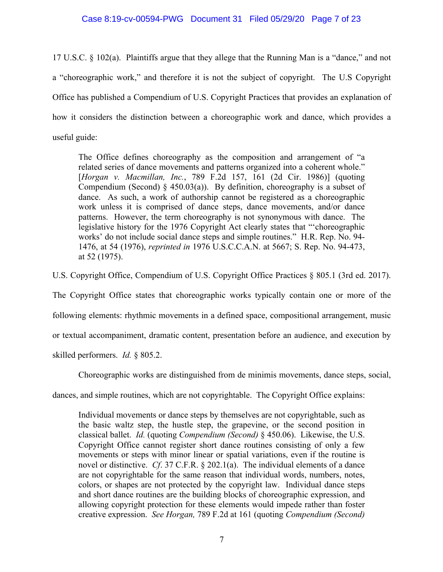# Case 8:19-cv-00594-PWG Document 31 Filed 05/29/20 Page 7 of 23

17 U.S.C. § 102(a). Plaintiffs argue that they allege that the Running Man is a "dance," and not a "choreographic work," and therefore it is not the subject of copyright. The U.S Copyright Office has published a Compendium of U.S. Copyright Practices that provides an explanation of how it considers the distinction between a choreographic work and dance, which provides a useful guide:

The Office defines choreography as the composition and arrangement of "a related series of dance movements and patterns organized into a coherent whole." [*Horgan v. Macmillan, Inc.*, 789 F.2d 157, 161 (2d Cir. 1986)] (quoting Compendium (Second)  $\S$  450.03(a)). By definition, choreography is a subset of dance. As such, a work of authorship cannot be registered as a choreographic work unless it is comprised of dance steps, dance movements, and/or dance patterns. However, the term choreography is not synonymous with dance. The legislative history for the 1976 Copyright Act clearly states that "'choreographic works' do not include social dance steps and simple routines." H.R. Rep. No. 94- 1476, at 54 (1976), *reprinted in* 1976 U.S.C.C.A.N. at 5667; S. Rep. No. 94-473, at 52 (1975).

U.S. Copyright Office, Compendium of U.S. Copyright Office Practices § 805.1 (3rd ed. 2017).

The Copyright Office states that choreographic works typically contain one or more of the

following elements: rhythmic movements in a defined space, compositional arrangement, music

or textual accompaniment, dramatic content, presentation before an audience, and execution by

skilled performers. *Id.* § 805.2.

Choreographic works are distinguished from de minimis movements, dance steps, social,

dances, and simple routines, which are not copyrightable. The Copyright Office explains:

Individual movements or dance steps by themselves are not copyrightable, such as the basic waltz step, the hustle step, the grapevine, or the second position in classical ballet. *Id.* (quoting *Compendium (Second)* § 450.06). Likewise, the U.S. Copyright Office cannot register short dance routines consisting of only a few movements or steps with minor linear or spatial variations, even if the routine is novel or distinctive. *Cf*. 37 C.F.R. § 202.1(a). The individual elements of a dance are not copyrightable for the same reason that individual words, numbers, notes, colors, or shapes are not protected by the copyright law. Individual dance steps and short dance routines are the building blocks of choreographic expression, and allowing copyright protection for these elements would impede rather than foster creative expression. *See Horgan,* 789 F.2d at 161 (quoting *Compendium (Second)*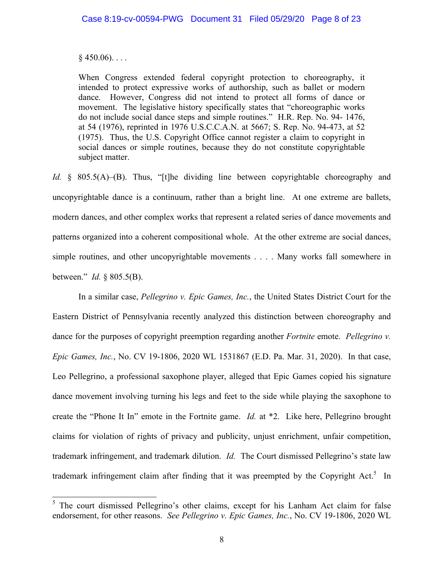### $§$  450.06)...

When Congress extended federal copyright protection to choreography, it intended to protect expressive works of authorship, such as ballet or modern dance. However, Congress did not intend to protect all forms of dance or movement. The legislative history specifically states that "choreographic works do not include social dance steps and simple routines." H.R. Rep. No. 94- 1476, at 54 (1976), reprinted in 1976 U.S.C.C.A.N. at 5667; S. Rep. No. 94-473, at 52 (1975). Thus, the U.S. Copyright Office cannot register a claim to copyright in social dances or simple routines, because they do not constitute copyrightable subject matter.

*Id.* § 805.5(A)–(B). Thus, "[t]he dividing line between copyrightable choreography and uncopyrightable dance is a continuum, rather than a bright line. At one extreme are ballets, modern dances, and other complex works that represent a related series of dance movements and patterns organized into a coherent compositional whole. At the other extreme are social dances, simple routines, and other uncopyrightable movements . . . . Many works fall somewhere in between." *Id.* § 805.5(B).

In a similar case, *Pellegrino v. Epic Games, Inc.*, the United States District Court for the Eastern District of Pennsylvania recently analyzed this distinction between choreography and dance for the purposes of copyright preemption regarding another *Fortnite* emote. *Pellegrino v. Epic Games, Inc.*, No. CV 19-1806, 2020 WL 1531867 (E.D. Pa. Mar. 31, 2020). In that case, Leo Pellegrino, a professional saxophone player, alleged that Epic Games copied his signature dance movement involving turning his legs and feet to the side while playing the saxophone to create the "Phone It In" emote in the Fortnite game. *Id.* at \*2. Like here, Pellegrino brought claims for violation of rights of privacy and publicity, unjust enrichment, unfair competition, trademark infringement, and trademark dilution. *Id.* The Court dismissed Pellegrino's state law trademark infringement claim after finding that it was preempted by the Copyright Act.<sup>5</sup> In

<sup>&</sup>lt;sup>5</sup> The court dismissed Pellegrino's other claims, except for his Lanham Act claim for false endorsement, for other reasons. *See Pellegrino v. Epic Games, Inc.*, No. CV 19-1806, 2020 WL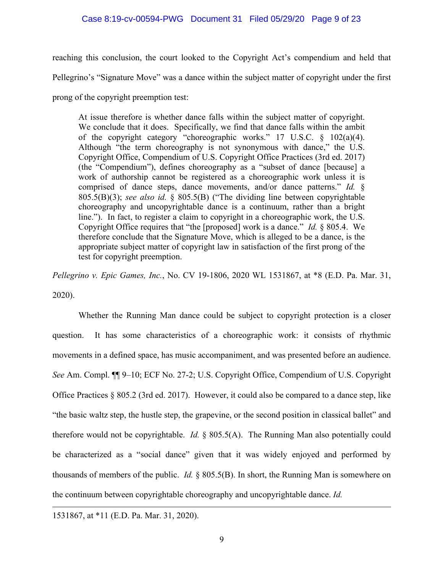## Case 8:19-cv-00594-PWG Document 31 Filed 05/29/20 Page 9 of 23

reaching this conclusion, the court looked to the Copyright Act's compendium and held that

Pellegrino's "Signature Move" was a dance within the subject matter of copyright under the first

prong of the copyright preemption test:

At issue therefore is whether dance falls within the subject matter of copyright. We conclude that it does. Specifically, we find that dance falls within the ambit of the copyright category "choreographic works." 17 U.S.C. § 102(a)(4). Although "the term choreography is not synonymous with dance," the U.S. Copyright Office, Compendium of U.S. Copyright Office Practices (3rd ed. 2017) (the "Compendium"), defines choreography as a "subset of dance [because] a work of authorship cannot be registered as a choreographic work unless it is comprised of dance steps, dance movements, and/or dance patterns." *Id.* § 805.5(B)(3); *see also id.* § 805.5(B) ("The dividing line between copyrightable choreography and uncopyrightable dance is a continuum, rather than a bright line."). In fact, to register a claim to copyright in a choreographic work, the U.S. Copyright Office requires that "the [proposed] work is a dance." *Id.* § 805.4. We therefore conclude that the Signature Move, which is alleged to be a dance, is the appropriate subject matter of copyright law in satisfaction of the first prong of the test for copyright preemption.

*Pellegrino v. Epic Games, Inc.*, No. CV 19-1806, 2020 WL 1531867, at \*8 (E.D. Pa. Mar. 31, 2020).

Whether the Running Man dance could be subject to copyright protection is a closer question. It has some characteristics of a choreographic work: it consists of rhythmic movements in a defined space, has music accompaniment, and was presented before an audience. *See* Am. Compl. ¶¶ 9–10; ECF No. 27-2; U.S. Copyright Office, Compendium of U.S. Copyright Office Practices § 805.2 (3rd ed. 2017). However, it could also be compared to a dance step, like "the basic waltz step, the hustle step, the grapevine, or the second position in classical ballet" and therefore would not be copyrightable. *Id.* § 805.5(A). The Running Man also potentially could be characterized as a "social dance" given that it was widely enjoyed and performed by thousands of members of the public. *Id.* § 805.5(B). In short, the Running Man is somewhere on the continuum between copyrightable choreography and uncopyrightable dance. *Id.*

 $\overline{a}$ 

<sup>1531867,</sup> at \*11 (E.D. Pa. Mar. 31, 2020).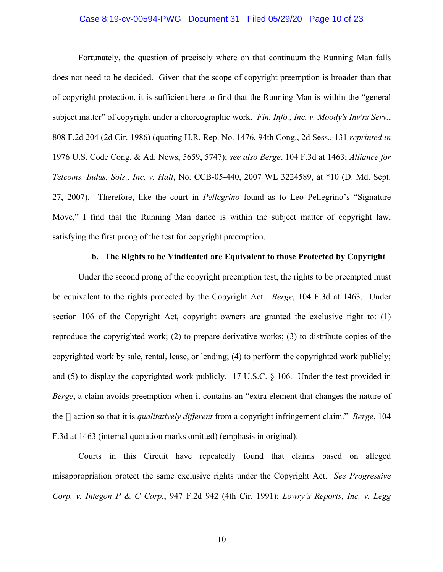### Case 8:19-cv-00594-PWG Document 31 Filed 05/29/20 Page 10 of 23

Fortunately, the question of precisely where on that continuum the Running Man falls does not need to be decided. Given that the scope of copyright preemption is broader than that of copyright protection, it is sufficient here to find that the Running Man is within the "general subject matter" of copyright under a choreographic work. *Fin. Info., Inc. v. Moody's Inv'rs Serv.*, 808 F.2d 204 (2d Cir. 1986) (quoting H.R. Rep. No. 1476, 94th Cong., 2d Sess., 131 *reprinted in* 1976 U.S. Code Cong. & Ad. News, 5659, 5747); *see also Berge*, 104 F.3d at 1463; *Alliance for Telcoms. Indus. Sols., Inc. v. Hall*, No. CCB-05-440, 2007 WL 3224589, at \*10 (D. Md. Sept. 27, 2007). Therefore, like the court in *Pellegrino* found as to Leo Pellegrino's "Signature Move," I find that the Running Man dance is within the subject matter of copyright law, satisfying the first prong of the test for copyright preemption.

### **b. The Rights to be Vindicated are Equivalent to those Protected by Copyright**

Under the second prong of the copyright preemption test, the rights to be preempted must be equivalent to the rights protected by the Copyright Act. *Berge*, 104 F.3d at 1463. Under section 106 of the Copyright Act, copyright owners are granted the exclusive right to: (1) reproduce the copyrighted work; (2) to prepare derivative works; (3) to distribute copies of the copyrighted work by sale, rental, lease, or lending; (4) to perform the copyrighted work publicly; and (5) to display the copyrighted work publicly. 17 U.S.C. § 106. Under the test provided in *Berge*, a claim avoids preemption when it contains an "extra element that changes the nature of the [] action so that it is *qualitatively different* from a copyright infringement claim." *Berge*, 104 F.3d at 1463 (internal quotation marks omitted) (emphasis in original).

Courts in this Circuit have repeatedly found that claims based on alleged misappropriation protect the same exclusive rights under the Copyright Act. *See Progressive Corp. v. Integon P & C Corp.*, 947 F.2d 942 (4th Cir. 1991); *Lowry's Reports, Inc. v. Legg*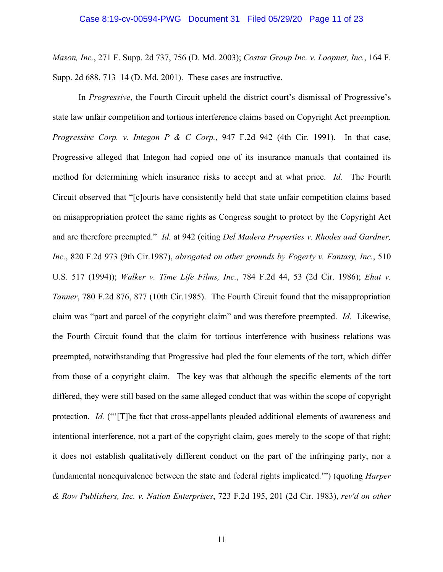*Mason, Inc.*, 271 F. Supp. 2d 737, 756 (D. Md. 2003); *Costar Group Inc. v. Loopnet, Inc.*, 164 F. Supp. 2d 688, 713–14 (D. Md. 2001). These cases are instructive.

In *Progressive*, the Fourth Circuit upheld the district court's dismissal of Progressive's state law unfair competition and tortious interference claims based on Copyright Act preemption. *Progressive Corp. v. Integon P & C Corp.*, 947 F.2d 942 (4th Cir. 1991). In that case, Progressive alleged that Integon had copied one of its insurance manuals that contained its method for determining which insurance risks to accept and at what price. *Id.* The Fourth Circuit observed that "[c]ourts have consistently held that state unfair competition claims based on misappropriation protect the same rights as Congress sought to protect by the Copyright Act and are therefore preempted." *Id.* at 942 (citing *Del Madera Properties v. Rhodes and Gardner, Inc.*, 820 F.2d 973 (9th Cir.1987), *abrogated on other grounds by Fogerty v. Fantasy, Inc.*, 510 U.S. 517 (1994)); *Walker v. Time Life Films, Inc.*, 784 F.2d 44, 53 (2d Cir. 1986); *Ehat v. Tanner*, 780 F.2d 876, 877 (10th Cir.1985). The Fourth Circuit found that the misappropriation claim was "part and parcel of the copyright claim" and was therefore preempted. *Id.* Likewise, the Fourth Circuit found that the claim for tortious interference with business relations was preempted, notwithstanding that Progressive had pled the four elements of the tort, which differ from those of a copyright claim. The key was that although the specific elements of the tort differed, they were still based on the same alleged conduct that was within the scope of copyright protection. *Id.* ("'[T]he fact that cross-appellants pleaded additional elements of awareness and intentional interference, not a part of the copyright claim, goes merely to the scope of that right; it does not establish qualitatively different conduct on the part of the infringing party, nor a fundamental nonequivalence between the state and federal rights implicated.'") (quoting *Harper & Row Publishers, Inc. v. Nation Enterprises*, 723 F.2d 195, 201 (2d Cir. 1983), *rev'd on other*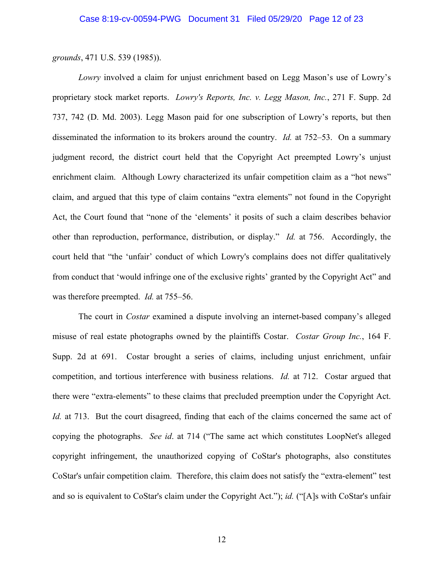*grounds*, 471 U.S. 539 (1985)).

*Lowry* involved a claim for unjust enrichment based on Legg Mason's use of Lowry's proprietary stock market reports. *Lowry's Reports, Inc. v. Legg Mason, Inc.*, 271 F. Supp. 2d 737, 742 (D. Md. 2003). Legg Mason paid for one subscription of Lowry's reports, but then disseminated the information to its brokers around the country. *Id.* at 752–53. On a summary judgment record, the district court held that the Copyright Act preempted Lowry's unjust enrichment claim. Although Lowry characterized its unfair competition claim as a "hot news" claim, and argued that this type of claim contains "extra elements" not found in the Copyright Act, the Court found that "none of the 'elements' it posits of such a claim describes behavior other than reproduction, performance, distribution, or display." *Id.* at 756. Accordingly, the court held that "the 'unfair' conduct of which Lowry's complains does not differ qualitatively from conduct that 'would infringe one of the exclusive rights' granted by the Copyright Act" and was therefore preempted. *Id.* at 755–56.

The court in *Costar* examined a dispute involving an internet-based company's alleged misuse of real estate photographs owned by the plaintiffs Costar. *Costar Group Inc.*, 164 F. Supp. 2d at 691. Costar brought a series of claims, including unjust enrichment, unfair competition, and tortious interference with business relations. *Id.* at 712. Costar argued that there were "extra-elements" to these claims that precluded preemption under the Copyright Act. *Id.* at 713. But the court disagreed, finding that each of the claims concerned the same act of copying the photographs. *See id*. at 714 ("The same act which constitutes LoopNet's alleged copyright infringement, the unauthorized copying of CoStar's photographs, also constitutes CoStar's unfair competition claim. Therefore, this claim does not satisfy the "extra-element" test and so is equivalent to CoStar's claim under the Copyright Act."); *id.* ("[A]s with CoStar's unfair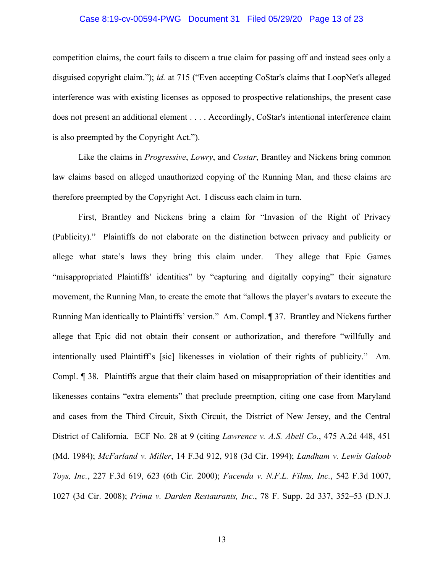### Case 8:19-cv-00594-PWG Document 31 Filed 05/29/20 Page 13 of 23

competition claims, the court fails to discern a true claim for passing off and instead sees only a disguised copyright claim."); *id.* at 715 ("Even accepting CoStar's claims that LoopNet's alleged interference was with existing licenses as opposed to prospective relationships, the present case does not present an additional element . . . . Accordingly, CoStar's intentional interference claim is also preempted by the Copyright Act.").

Like the claims in *Progressive*, *Lowry*, and *Costar*, Brantley and Nickens bring common law claims based on alleged unauthorized copying of the Running Man, and these claims are therefore preempted by the Copyright Act. I discuss each claim in turn.

First, Brantley and Nickens bring a claim for "Invasion of the Right of Privacy (Publicity)." Plaintiffs do not elaborate on the distinction between privacy and publicity or allege what state's laws they bring this claim under. They allege that Epic Games "misappropriated Plaintiffs' identities" by "capturing and digitally copying" their signature movement, the Running Man, to create the emote that "allows the player's avatars to execute the Running Man identically to Plaintiffs' version." Am. Compl. ¶ 37. Brantley and Nickens further allege that Epic did not obtain their consent or authorization, and therefore "willfully and intentionally used Plaintiff's [sic] likenesses in violation of their rights of publicity." Am. Compl. ¶ 38. Plaintiffs argue that their claim based on misappropriation of their identities and likenesses contains "extra elements" that preclude preemption, citing one case from Maryland and cases from the Third Circuit, Sixth Circuit, the District of New Jersey, and the Central District of California. ECF No. 28 at 9 (citing *Lawrence v. A.S. Abell Co.*, 475 A.2d 448, 451 (Md. 1984); *McFarland v. Miller*, 14 F.3d 912, 918 (3d Cir. 1994); *Landham v. Lewis Galoob Toys, Inc.*, 227 F.3d 619, 623 (6th Cir. 2000); *Facenda v. N.F.L. Films, Inc.*, 542 F.3d 1007, 1027 (3d Cir. 2008); *Prima v. Darden Restaurants, Inc.*, 78 F. Supp. 2d 337, 352–53 (D.N.J.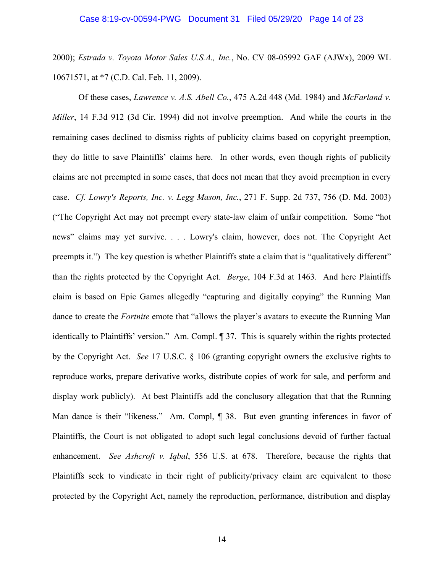2000); *Estrada v. Toyota Motor Sales U.S.A., Inc.*, No. CV 08-05992 GAF (AJWx), 2009 WL 10671571, at \*7 (C.D. Cal. Feb. 11, 2009).

Of these cases, *Lawrence v. A.S. Abell Co.*, 475 A.2d 448 (Md. 1984) and *McFarland v. Miller*, 14 F.3d 912 (3d Cir. 1994) did not involve preemption. And while the courts in the remaining cases declined to dismiss rights of publicity claims based on copyright preemption, they do little to save Plaintiffs' claims here. In other words, even though rights of publicity claims are not preempted in some cases, that does not mean that they avoid preemption in every case. *Cf. Lowry's Reports, Inc. v. Legg Mason, Inc.*, 271 F. Supp. 2d 737, 756 (D. Md. 2003) ("The Copyright Act may not preempt every state-law claim of unfair competition. Some "hot news" claims may yet survive. . . . Lowry's claim, however, does not. The Copyright Act preempts it.") The key question is whether Plaintiffs state a claim that is "qualitatively different" than the rights protected by the Copyright Act. *Berge*, 104 F.3d at 1463. And here Plaintiffs claim is based on Epic Games allegedly "capturing and digitally copying" the Running Man dance to create the *Fortnite* emote that "allows the player's avatars to execute the Running Man identically to Plaintiffs' version." Am. Compl. ¶ 37. This is squarely within the rights protected by the Copyright Act. *See* 17 U.S.C. § 106 (granting copyright owners the exclusive rights to reproduce works, prepare derivative works, distribute copies of work for sale, and perform and display work publicly). At best Plaintiffs add the conclusory allegation that that the Running Man dance is their "likeness." Am. Compl,  $\parallel$  38. But even granting inferences in favor of Plaintiffs, the Court is not obligated to adopt such legal conclusions devoid of further factual enhancement. *See Ashcroft v. Iqbal*, 556 U.S. at 678. Therefore, because the rights that Plaintiffs seek to vindicate in their right of publicity/privacy claim are equivalent to those protected by the Copyright Act, namely the reproduction, performance, distribution and display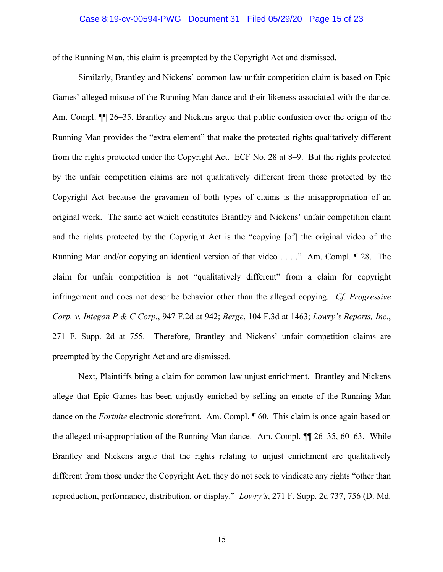### Case 8:19-cv-00594-PWG Document 31 Filed 05/29/20 Page 15 of 23

of the Running Man, this claim is preempted by the Copyright Act and dismissed.

Similarly, Brantley and Nickens' common law unfair competition claim is based on Epic Games' alleged misuse of the Running Man dance and their likeness associated with the dance. Am. Compl.  $\P$  26–35. Brantley and Nickens argue that public confusion over the origin of the Running Man provides the "extra element" that make the protected rights qualitatively different from the rights protected under the Copyright Act. ECF No. 28 at 8–9. But the rights protected by the unfair competition claims are not qualitatively different from those protected by the Copyright Act because the gravamen of both types of claims is the misappropriation of an original work. The same act which constitutes Brantley and Nickens' unfair competition claim and the rights protected by the Copyright Act is the "copying [of] the original video of the Running Man and/or copying an identical version of that video . . . ." Am. Compl. ¶ 28. The claim for unfair competition is not "qualitatively different" from a claim for copyright infringement and does not describe behavior other than the alleged copying. *Cf. Progressive Corp. v. Integon P & C Corp.*, 947 F.2d at 942; *Berge*, 104 F.3d at 1463; *Lowry's Reports, Inc.*, 271 F. Supp. 2d at 755. Therefore, Brantley and Nickens' unfair competition claims are preempted by the Copyright Act and are dismissed.

Next, Plaintiffs bring a claim for common law unjust enrichment. Brantley and Nickens allege that Epic Games has been unjustly enriched by selling an emote of the Running Man dance on the *Fortnite* electronic storefront. Am. Compl. ¶ 60. This claim is once again based on the alleged misappropriation of the Running Man dance. Am. Compl. ¶¶ 26–35, 60–63. While Brantley and Nickens argue that the rights relating to unjust enrichment are qualitatively different from those under the Copyright Act, they do not seek to vindicate any rights "other than reproduction, performance, distribution, or display." *Lowry's*, 271 F. Supp. 2d 737, 756 (D. Md.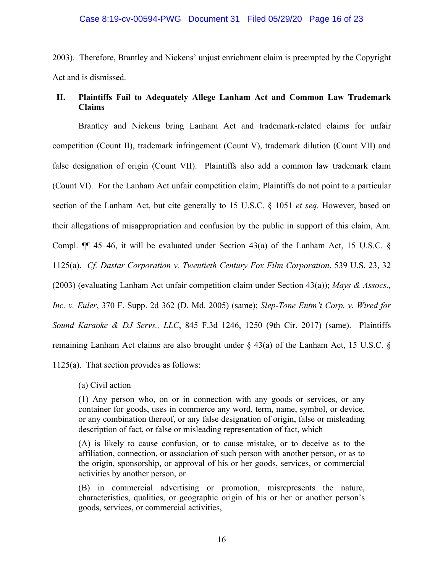### Case 8:19-cv-00594-PWG Document 31 Filed 05/29/20 Page 16 of 23

2003). Therefore, Brantley and Nickens' unjust enrichment claim is preempted by the Copyright Act and is dismissed.

# **II. Plaintiffs Fail to Adequately Allege Lanham Act and Common Law Trademark Claims**

Brantley and Nickens bring Lanham Act and trademark-related claims for unfair competition (Count II), trademark infringement (Count V), trademark dilution (Count VII) and false designation of origin (Count VII). Plaintiffs also add a common law trademark claim (Count VI). For the Lanham Act unfair competition claim, Plaintiffs do not point to a particular section of the Lanham Act, but cite generally to 15 U.S.C. § 1051 *et seq.* However, based on their allegations of misappropriation and confusion by the public in support of this claim, Am. Compl.  $\P$  45–46, it will be evaluated under Section 43(a) of the Lanham Act, 15 U.S.C. § 1125(a). *Cf. Dastar Corporation v. Twentieth Century Fox Film Corporation*, 539 U.S. 23, 32 (2003) (evaluating Lanham Act unfair competition claim under Section 43(a)); *Mays & Assocs., Inc. v. Euler*, 370 F. Supp. 2d 362 (D. Md. 2005) (same); *Slep-Tone Entm't Corp. v. Wired for Sound Karaoke & DJ Servs., LLC*, 845 F.3d 1246, 1250 (9th Cir. 2017) (same). Plaintiffs remaining Lanham Act claims are also brought under § 43(a) of the Lanham Act, 15 U.S.C. § 1125(a). That section provides as follows:

(a) Civil action

(1) Any person who, on or in connection with any goods or services, or any container for goods, uses in commerce any word, term, name, symbol, or device, or any combination thereof, or any false designation of origin, false or misleading description of fact, or false or misleading representation of fact, which—

(A) is likely to cause confusion, or to cause mistake, or to deceive as to the affiliation, connection, or association of such person with another person, or as to the origin, sponsorship, or approval of his or her goods, services, or commercial activities by another person, or

(B) in commercial advertising or promotion, misrepresents the nature, characteristics, qualities, or geographic origin of his or her or another person's goods, services, or commercial activities,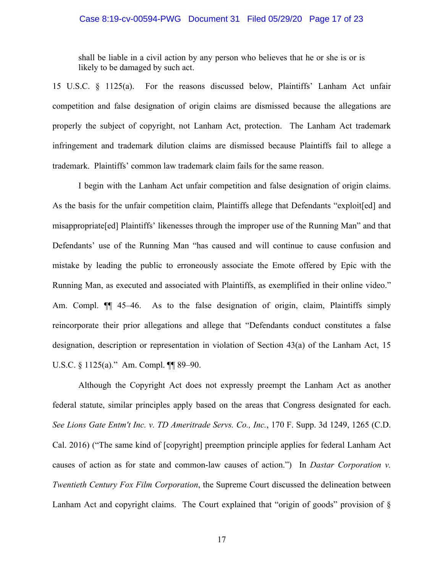#### Case 8:19-cv-00594-PWG Document 31 Filed 05/29/20 Page 17 of 23

shall be liable in a civil action by any person who believes that he or she is or is likely to be damaged by such act.

15 U.S.C. § 1125(a). For the reasons discussed below, Plaintiffs' Lanham Act unfair competition and false designation of origin claims are dismissed because the allegations are properly the subject of copyright, not Lanham Act, protection. The Lanham Act trademark infringement and trademark dilution claims are dismissed because Plaintiffs fail to allege a trademark. Plaintiffs' common law trademark claim fails for the same reason.

I begin with the Lanham Act unfair competition and false designation of origin claims. As the basis for the unfair competition claim, Plaintiffs allege that Defendants "exploit[ed] and misappropriate[ed] Plaintiffs' likenesses through the improper use of the Running Man" and that Defendants' use of the Running Man "has caused and will continue to cause confusion and mistake by leading the public to erroneously associate the Emote offered by Epic with the Running Man, as executed and associated with Plaintiffs, as exemplified in their online video." Am. Compl.  $\P$  45–46. As to the false designation of origin, claim, Plaintiffs simply reincorporate their prior allegations and allege that "Defendants conduct constitutes a false designation, description or representation in violation of Section 43(a) of the Lanham Act, 15 U.S.C. § 1125(a)." Am. Compl. ¶ 89-90.

Although the Copyright Act does not expressly preempt the Lanham Act as another federal statute, similar principles apply based on the areas that Congress designated for each. *See Lions Gate Entm't Inc. v. TD Ameritrade Servs. Co., Inc.*, 170 F. Supp. 3d 1249, 1265 (C.D. Cal. 2016) ("The same kind of [copyright] preemption principle applies for federal Lanham Act causes of action as for state and common-law causes of action.") In *Dastar Corporation v. Twentieth Century Fox Film Corporation*, the Supreme Court discussed the delineation between Lanham Act and copyright claims. The Court explained that "origin of goods" provision of §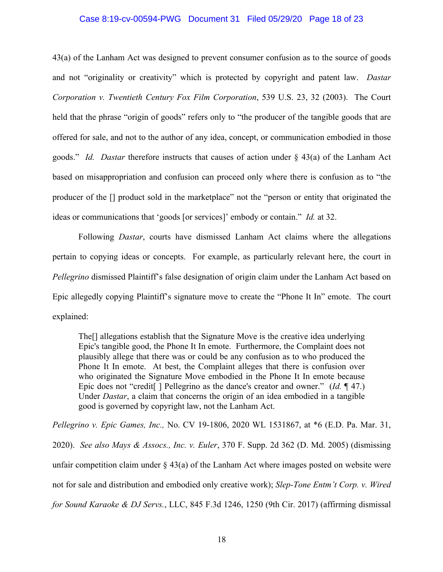### Case 8:19-cv-00594-PWG Document 31 Filed 05/29/20 Page 18 of 23

43(a) of the Lanham Act was designed to prevent consumer confusion as to the source of goods and not "originality or creativity" which is protected by copyright and patent law. *Dastar Corporation v. Twentieth Century Fox Film Corporation*, 539 U.S. 23, 32 (2003). The Court held that the phrase "origin of goods" refers only to "the producer of the tangible goods that are offered for sale, and not to the author of any idea, concept, or communication embodied in those goods." *Id. Dastar* therefore instructs that causes of action under § 43(a) of the Lanham Act based on misappropriation and confusion can proceed only where there is confusion as to "the producer of the [] product sold in the marketplace" not the "person or entity that originated the ideas or communications that 'goods [or services]' embody or contain." *Id.* at 32.

Following *Dastar*, courts have dismissed Lanham Act claims where the allegations pertain to copying ideas or concepts. For example, as particularly relevant here, the court in *Pellegrino* dismissed Plaintiff's false designation of origin claim under the Lanham Act based on Epic allegedly copying Plaintiff's signature move to create the "Phone It In" emote. The court explained:

The[] allegations establish that the Signature Move is the creative idea underlying Epic's tangible good, the Phone It In emote. Furthermore, the Complaint does not plausibly allege that there was or could be any confusion as to who produced the Phone It In emote. At best, the Complaint alleges that there is confusion over who originated the Signature Move embodied in the Phone It In emote because Epic does not "credit[ ] Pellegrino as the dance's creator and owner." (*Id.* ¶ 47.) Under *Dastar*, a claim that concerns the origin of an idea embodied in a tangible good is governed by copyright law, not the Lanham Act.

*Pellegrino v. Epic Games, Inc.,* No. CV 19-1806, 2020 WL 1531867, at \*6 (E.D. Pa. Mar. 31, 2020). *See also Mays & Assocs., Inc. v. Euler*, 370 F. Supp. 2d 362 (D. Md. 2005) (dismissing unfair competition claim under  $\S$  43(a) of the Lanham Act where images posted on website were not for sale and distribution and embodied only creative work); *Slep-Tone Entm't Corp. v. Wired for Sound Karaoke & DJ Servs.*, LLC, 845 F.3d 1246, 1250 (9th Cir. 2017) (affirming dismissal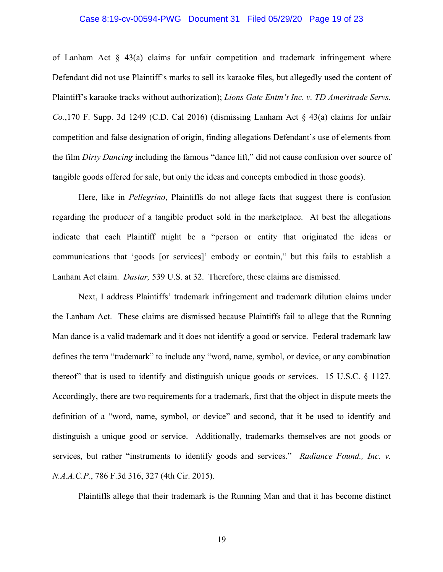### Case 8:19-cv-00594-PWG Document 31 Filed 05/29/20 Page 19 of 23

of Lanham Act  $\S$  43(a) claims for unfair competition and trademark infringement where Defendant did not use Plaintiff's marks to sell its karaoke files, but allegedly used the content of Plaintiff's karaoke tracks without authorization); *Lions Gate Entm't Inc. v. TD Ameritrade Servs. Co.*,170 F. Supp. 3d 1249 (C.D. Cal 2016) (dismissing Lanham Act § 43(a) claims for unfair competition and false designation of origin, finding allegations Defendant's use of elements from the film *Dirty Dancing* including the famous "dance lift," did not cause confusion over source of tangible goods offered for sale, but only the ideas and concepts embodied in those goods).

Here, like in *Pellegrino*, Plaintiffs do not allege facts that suggest there is confusion regarding the producer of a tangible product sold in the marketplace. At best the allegations indicate that each Plaintiff might be a "person or entity that originated the ideas or communications that 'goods [or services]' embody or contain," but this fails to establish a Lanham Act claim. *Dastar,* 539 U.S. at 32. Therefore, these claims are dismissed.

Next, I address Plaintiffs' trademark infringement and trademark dilution claims under the Lanham Act. These claims are dismissed because Plaintiffs fail to allege that the Running Man dance is a valid trademark and it does not identify a good or service. Federal trademark law defines the term "trademark" to include any "word, name, symbol, or device, or any combination thereof" that is used to identify and distinguish unique goods or services. 15 U.S.C. § 1127. Accordingly, there are two requirements for a trademark, first that the object in dispute meets the definition of a "word, name, symbol, or device" and second, that it be used to identify and distinguish a unique good or service. Additionally, trademarks themselves are not goods or services, but rather "instruments to identify goods and services." *Radiance Found., Inc. v. N.A.A.C.P.*, 786 F.3d 316, 327 (4th Cir. 2015).

Plaintiffs allege that their trademark is the Running Man and that it has become distinct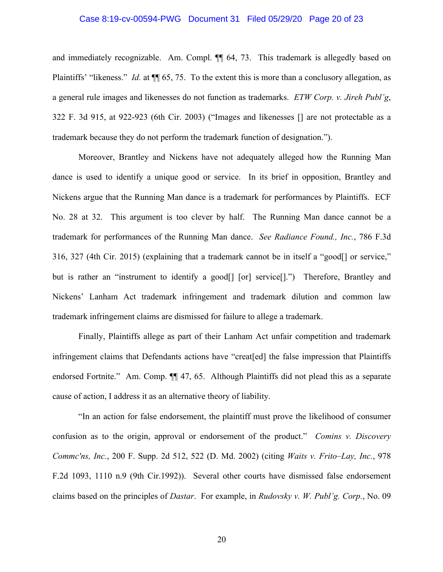### Case 8:19-cv-00594-PWG Document 31 Filed 05/29/20 Page 20 of 23

and immediately recognizable. Am. Compl. ¶¶ 64, 73. This trademark is allegedly based on Plaintiffs' "likeness." *Id.* at  $\P$  65, 75. To the extent this is more than a conclusory allegation, as a general rule images and likenesses do not function as trademarks. *ETW Corp. v. Jireh Publ'g*, 322 F. 3d 915, at 922-923 (6th Cir. 2003) ("Images and likenesses [] are not protectable as a trademark because they do not perform the trademark function of designation.").

Moreover, Brantley and Nickens have not adequately alleged how the Running Man dance is used to identify a unique good or service. In its brief in opposition, Brantley and Nickens argue that the Running Man dance is a trademark for performances by Plaintiffs. ECF No. 28 at 32. This argument is too clever by half. The Running Man dance cannot be a trademark for performances of the Running Man dance. *See Radiance Found., Inc.*, 786 F.3d 316, 327 (4th Cir. 2015) (explaining that a trademark cannot be in itself a "good[] or service," but is rather an "instrument to identify a good<sup>[]</sup> [or] service<sup>[]</sup>.") Therefore, Brantley and Nickens' Lanham Act trademark infringement and trademark dilution and common law trademark infringement claims are dismissed for failure to allege a trademark.

Finally, Plaintiffs allege as part of their Lanham Act unfair competition and trademark infringement claims that Defendants actions have "creat[ed] the false impression that Plaintiffs endorsed Fortnite." Am. Comp.  $\P$  47, 65. Although Plaintiffs did not plead this as a separate cause of action, I address it as an alternative theory of liability.

"In an action for false endorsement, the plaintiff must prove the likelihood of consumer confusion as to the origin, approval or endorsement of the product." *Comins v. Discovery Commc'ns, Inc.*, 200 F. Supp. 2d 512, 522 (D. Md. 2002) (citing *Waits v. Frito–Lay, Inc.*, 978 F.2d 1093, 1110 n.9 (9th Cir.1992)). Several other courts have dismissed false endorsement claims based on the principles of *Dastar*. For example, in *Rudovsky v. W. Publ'g. Corp.*, No. 09

20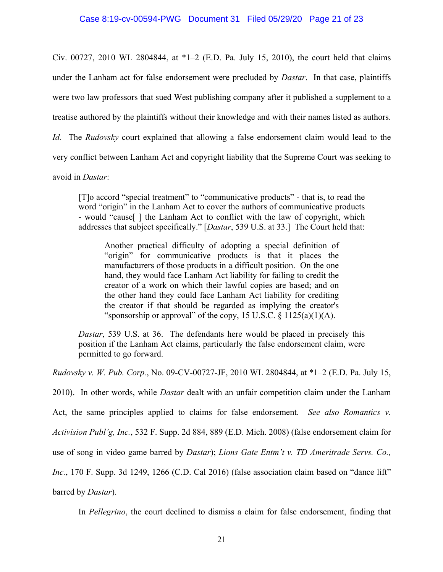Civ. 00727, 2010 WL 2804844, at \*1–2 (E.D. Pa. July 15, 2010), the court held that claims under the Lanham act for false endorsement were precluded by *Dastar*. In that case, plaintiffs were two law professors that sued West publishing company after it published a supplement to a treatise authored by the plaintiffs without their knowledge and with their names listed as authors. *Id.* The *Rudovsky* court explained that allowing a false endorsement claim would lead to the very conflict between Lanham Act and copyright liability that the Supreme Court was seeking to

avoid in *Dastar*:

[T]o accord "special treatment" to "communicative products" - that is, to read the word "origin" in the Lanham Act to cover the authors of communicative products - would "cause[ ] the Lanham Act to conflict with the law of copyright, which addresses that subject specifically." [*Dastar*, 539 U.S. at 33.] The Court held that:

Another practical difficulty of adopting a special definition of "origin" for communicative products is that it places the manufacturers of those products in a difficult position. On the one hand, they would face Lanham Act liability for failing to credit the creator of a work on which their lawful copies are based; and on the other hand they could face Lanham Act liability for crediting the creator if that should be regarded as implying the creator's "sponsorship or approval" of the copy,  $15$  U.S.C. §  $1125(a)(1)(A)$ .

*Dastar*, 539 U.S. at 36. The defendants here would be placed in precisely this position if the Lanham Act claims, particularly the false endorsement claim, were permitted to go forward.

*Rudovsky v. W. Pub. Corp.*, No. 09-CV-00727-JF, 2010 WL 2804844, at \*1–2 (E.D. Pa. July 15,

2010). In other words, while *Dastar* dealt with an unfair competition claim under the Lanham

Act, the same principles applied to claims for false endorsement. *See also Romantics v.* 

*Activision Publ'g, Inc.*, 532 F. Supp. 2d 884, 889 (E.D. Mich. 2008) (false endorsement claim for

use of song in video game barred by *Dastar*); *Lions Gate Entm't v. TD Ameritrade Servs. Co.,* 

*Inc.*, 170 F. Supp. 3d 1249, 1266 (C.D. Cal 2016) (false association claim based on "dance lift"

barred by *Dastar*).

In *Pellegrino*, the court declined to dismiss a claim for false endorsement, finding that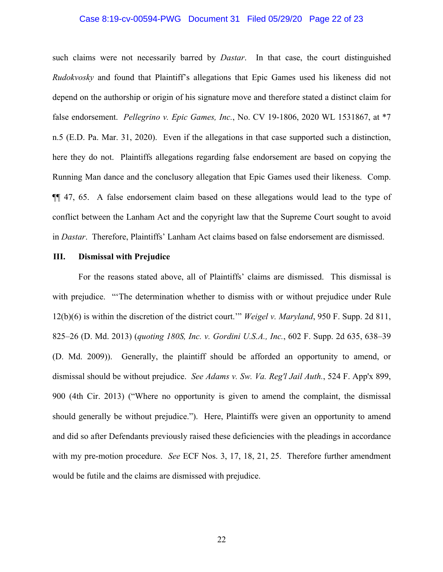### Case 8:19-cv-00594-PWG Document 31 Filed 05/29/20 Page 22 of 23

such claims were not necessarily barred by *Dastar*. In that case, the court distinguished *Rudokvosky* and found that Plaintiff's allegations that Epic Games used his likeness did not depend on the authorship or origin of his signature move and therefore stated a distinct claim for false endorsement. *Pellegrino v. Epic Games, Inc.*, No. CV 19-1806, 2020 WL 1531867, at \*7 n.5 (E.D. Pa. Mar. 31, 2020). Even if the allegations in that case supported such a distinction, here they do not. Plaintiffs allegations regarding false endorsement are based on copying the Running Man dance and the conclusory allegation that Epic Games used their likeness. Comp. ¶¶ 47, 65. A false endorsement claim based on these allegations would lead to the type of conflict between the Lanham Act and the copyright law that the Supreme Court sought to avoid in *Dastar*. Therefore, Plaintiffs' Lanham Act claims based on false endorsement are dismissed.

#### **III. Dismissal with Prejudice**

For the reasons stated above, all of Plaintiffs' claims are dismissed. This dismissal is with prejudice. "The determination whether to dismiss with or without prejudice under Rule 12(b)(6) is within the discretion of the district court.'" *Weigel v. Maryland*, 950 F. Supp. 2d 811, 825–26 (D. Md. 2013) (*quoting 180S, Inc. v. Gordini U.S.A., Inc.*, 602 F. Supp. 2d 635, 638–39 (D. Md. 2009)). Generally, the plaintiff should be afforded an opportunity to amend, or dismissal should be without prejudice. *See Adams v. Sw. Va. Reg'l Jail Auth.*, 524 F. App'x 899, 900 (4th Cir. 2013) ("Where no opportunity is given to amend the complaint, the dismissal should generally be without prejudice."). Here, Plaintiffs were given an opportunity to amend and did so after Defendants previously raised these deficiencies with the pleadings in accordance with my pre-motion procedure. *See* ECF Nos. 3, 17, 18, 21, 25. Therefore further amendment would be futile and the claims are dismissed with prejudice.